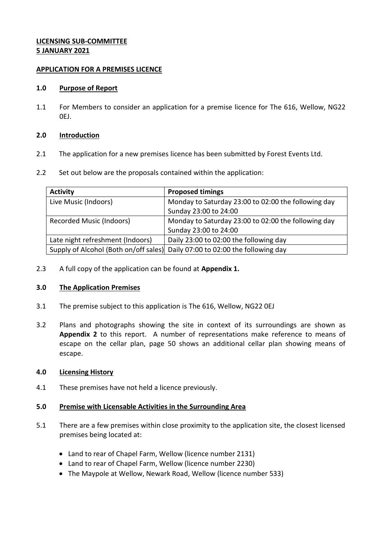# **LICENSING SUB-COMMITTEE 5 JANUARY 2021**

## **APPLICATION FOR A PREMISES LICENCE**

## **1.0 Purpose of Report**

1.1 For Members to consider an application for a premise licence for The 616, Wellow, NG22 0EJ.

# **2.0 Introduction**

- 2.1 The application for a new premises licence has been submitted by Forest Events Ltd.
- 2.2 Set out below are the proposals contained within the application:

| <b>Activity</b>                  | <b>Proposed timings</b>                                                      |
|----------------------------------|------------------------------------------------------------------------------|
| Live Music (Indoors)             | Monday to Saturday 23:00 to 02:00 the following day                          |
|                                  | Sunday 23:00 to 24:00                                                        |
| <b>Recorded Music (Indoors)</b>  | Monday to Saturday 23:00 to 02:00 the following day                          |
|                                  | Sunday 23:00 to 24:00                                                        |
| Late night refreshment (Indoors) | Daily 23:00 to 02:00 the following day                                       |
|                                  | Supply of Alcohol (Both on/off sales) Daily 07:00 to 02:00 the following day |

2.3 A full copy of the application can be found at **Appendix 1.**

# **3.0 The Application Premises**

- 3.1 The premise subject to this application is The 616, Wellow, NG22 0EJ
- 3.2 Plans and photographs showing the site in context of its surroundings are shown as **Appendix 2** to this report. A number of representations make reference to means of escape on the cellar plan, page 50 shows an additional cellar plan showing means of escape.

#### **4.0 Licensing History**

4.1 These premises have not held a licence previously.

# **5.0 Premise with Licensable Activities in the Surrounding Area**

- 5.1 There are a few premises within close proximity to the application site, the closest licensed premises being located at:
	- Land to rear of Chapel Farm, Wellow (licence number 2131)
	- Land to rear of Chapel Farm, Wellow (licence number 2230)
	- The Maypole at Wellow, Newark Road, Wellow (licence number 533)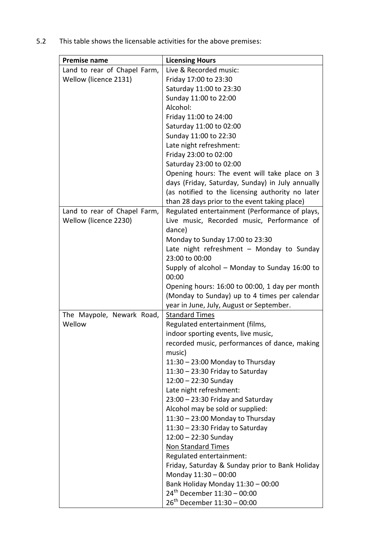| <b>Premise name</b>          | <b>Licensing Hours</b>                           |
|------------------------------|--------------------------------------------------|
| Land to rear of Chapel Farm, | Live & Recorded music:                           |
| Wellow (licence 2131)        | Friday 17:00 to 23:30                            |
|                              | Saturday 11:00 to 23:30                          |
|                              | Sunday 11:00 to 22:00                            |
|                              | Alcohol:                                         |
|                              | Friday 11:00 to 24:00                            |
|                              | Saturday 11:00 to 02:00                          |
|                              | Sunday 11:00 to 22:30                            |
|                              | Late night refreshment:                          |
|                              | Friday 23:00 to 02:00                            |
|                              | Saturday 23:00 to 02:00                          |
|                              | Opening hours: The event will take place on 3    |
|                              | days (Friday, Saturday, Sunday) in July annually |
|                              | (as notified to the licensing authority no later |
|                              | than 28 days prior to the event taking place)    |
| Land to rear of Chapel Farm, | Regulated entertainment (Performance of plays,   |
| Wellow (licence 2230)        | Live music, Recorded music, Performance of       |
|                              | dance)                                           |
|                              | Monday to Sunday 17:00 to 23:30                  |
|                              | Late night refreshment - Monday to Sunday        |
|                              | 23:00 to 00:00                                   |
|                              | Supply of alcohol - Monday to Sunday 16:00 to    |
|                              | 00:00                                            |
|                              | Opening hours: 16:00 to 00:00, 1 day per month   |
|                              | (Monday to Sunday) up to 4 times per calendar    |
|                              | year in June, July, August or September.         |
| The Maypole, Newark Road,    | <b>Standard Times</b>                            |
| Wellow                       | Regulated entertainment (films,                  |
|                              | indoor sporting events, live music,              |
|                              | recorded music, performances of dance, making    |
|                              | music)                                           |
|                              | $11:30 - 23:00$ Monday to Thursday               |
|                              | $11:30 - 23:30$ Friday to Saturday               |
|                              | $12:00 - 22:30$ Sunday                           |
|                              | Late night refreshment:                          |
|                              | $23:00 - 23:30$ Friday and Saturday              |
|                              | Alcohol may be sold or supplied:                 |
|                              | $11:30 - 23:00$ Monday to Thursday               |
|                              | $11:30 - 23:30$ Friday to Saturday               |
|                              | $12:00 - 22:30$ Sunday                           |
|                              | Non Standard Times                               |
|                              | Regulated entertainment:                         |
|                              | Friday, Saturday & Sunday prior to Bank Holiday  |
|                              | Monday 11:30 - 00:00                             |
|                              | Bank Holiday Monday 11:30 - 00:00                |
|                              | $24^{th}$ December 11:30 - 00:00                 |
|                              | $26^{th}$ December 11:30 - 00:00                 |

5.2 This table shows the licensable activities for the above premises: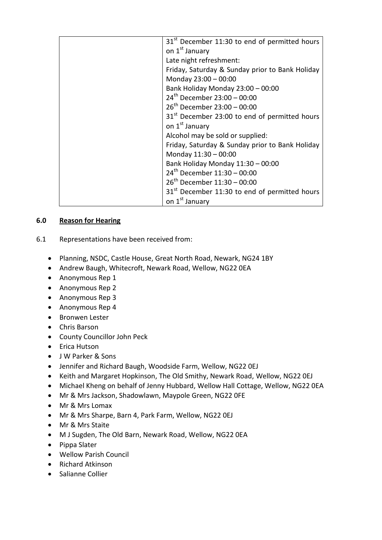| 31 <sup>st</sup> December 11:30 to end of permitted hours |
|-----------------------------------------------------------|
| on 1 <sup>st</sup> January                                |
| Late night refreshment:                                   |
| Friday, Saturday & Sunday prior to Bank Holiday           |
| Monday 23:00 - 00:00                                      |
| Bank Holiday Monday 23:00 - 00:00                         |
| 24 <sup>th</sup> December 23:00 - 00:00                   |
| $26^{th}$ December 23:00 - 00:00                          |
| 31 <sup>st</sup> December 23:00 to end of permitted hours |
| on 1 <sup>st</sup> January                                |
| Alcohol may be sold or supplied:                          |
| Friday, Saturday & Sunday prior to Bank Holiday           |
| Monday 11:30 - 00:00                                      |
| Bank Holiday Monday 11:30 - 00:00                         |
| $24^{th}$ December 11:30 - 00:00                          |
| $26^{th}$ December 11:30 - 00:00                          |
| 31 <sup>st</sup> December 11:30 to end of permitted hours |
| on 1 <sup>st</sup> January                                |

# **6.0 Reason for Hearing**

- 6.1 Representations have been received from:
	- Planning, NSDC, Castle House, Great North Road, Newark, NG24 1BY
	- Andrew Baugh, Whitecroft, Newark Road, Wellow, NG22 0EA
	- Anonymous Rep 1
	- Anonymous Rep 2
	- Anonymous Rep 3
	- Anonymous Rep 4
	- Bronwen Lester
	- Chris Barson
	- County Councillor John Peck
	- Erica Hutson
	- J W Parker & Sons
	- Jennifer and Richard Baugh, Woodside Farm, Wellow, NG22 0EJ
	- Keith and Margaret Hopkinson, The Old Smithy, Newark Road, Wellow, NG22 0EJ
	- Michael Kheng on behalf of Jenny Hubbard, Wellow Hall Cottage, Wellow, NG22 0EA
	- Mr & Mrs Jackson, Shadowlawn, Maypole Green, NG22 0FE
	- Mr & Mrs Lomax
	- Mr & Mrs Sharpe, Barn 4, Park Farm, Wellow, NG22 0EJ
	- Mr & Mrs Staite
	- M J Sugden, The Old Barn, Newark Road, Wellow, NG22 0EA
	- Pippa Slater
	- Wellow Parish Council
	- Richard Atkinson
	- Salianne Collier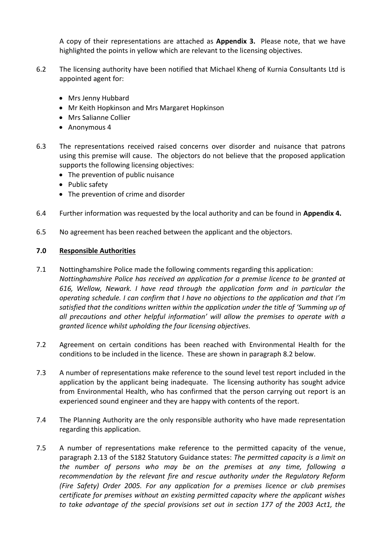A copy of their representations are attached as **Appendix 3.** Please note, that we have highlighted the points in yellow which are relevant to the licensing objectives.

- 6.2 The licensing authority have been notified that Michael Kheng of Kurnia Consultants Ltd is appointed agent for:
	- Mrs Jenny Hubbard
	- Mr Keith Hopkinson and Mrs Margaret Hopkinson
	- Mrs Salianne Collier
	- Anonymous 4
- 6.3 The representations received raised concerns over disorder and nuisance that patrons using this premise will cause. The objectors do not believe that the proposed application supports the following licensing objectives:
	- The prevention of public nuisance
	- Public safety
	- The prevention of crime and disorder
- 6.4 Further information was requested by the local authority and can be found in **Appendix 4.**
- 6.5 No agreement has been reached between the applicant and the objectors.

#### **7.0 Responsible Authorities**

- 7.1 Nottinghamshire Police made the following comments regarding this application: *Nottinghamshire Police has received an application for a premise licence to be granted at 616, Wellow, Newark. I have read through the application form and in particular the operating schedule. I can confirm that I have no objections to the application and that I'm satisfied that the conditions written within the application under the title of 'Summing up of all precautions and other helpful information' will allow the premises to operate with a granted licence whilst upholding the four licensing objectives.*
- 7.2 Agreement on certain conditions has been reached with Environmental Health for the conditions to be included in the licence. These are shown in paragraph 8.2 below.
- 7.3 A number of representations make reference to the sound level test report included in the application by the applicant being inadequate. The licensing authority has sought advice from Environmental Health, who has confirmed that the person carrying out report is an experienced sound engineer and they are happy with contents of the report.
- 7.4 The Planning Authority are the only responsible authority who have made representation regarding this application.
- 7.5 A number of representations make reference to the permitted capacity of the venue, paragraph 2.13 of the S182 Statutory Guidance states: *The permitted capacity is a limit on the number of persons who may be on the premises at any time, following a recommendation by the relevant fire and rescue authority under the Regulatory Reform (Fire Safety) Order 2005. For any application for a premises licence or club premises certificate for premises without an existing permitted capacity where the applicant wishes to take advantage of the special provisions set out in section 177 of the 2003 Act1, the*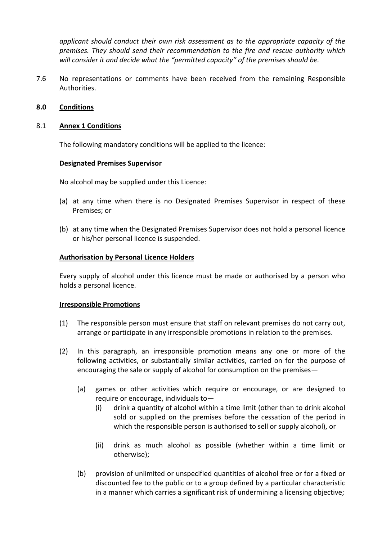*applicant should conduct their own risk assessment as to the appropriate capacity of the premises. They should send their recommendation to the fire and rescue authority which will consider it and decide what the "permitted capacity" of the premises should be.*

7.6 No representations or comments have been received from the remaining Responsible Authorities.

## **8.0 Conditions**

## 8.1 **Annex 1 Conditions**

The following mandatory conditions will be applied to the licence:

#### **Designated Premises Supervisor**

No alcohol may be supplied under this Licence:

- (a) at any time when there is no Designated Premises Supervisor in respect of these Premises; or
- (b) at any time when the Designated Premises Supervisor does not hold a personal licence or his/her personal licence is suspended.

# **Authorisation by Personal Licence Holders**

Every supply of alcohol under this licence must be made or authorised by a person who holds a personal licence.

#### **Irresponsible Promotions**

- (1) The responsible person must ensure that staff on relevant premises do not carry out, arrange or participate in any irresponsible promotions in relation to the premises.
- (2) In this paragraph, an irresponsible promotion means any one or more of the following activities, or substantially similar activities, carried on for the purpose of encouraging the sale or supply of alcohol for consumption on the premises—
	- (a) games or other activities which require or encourage, or are designed to require or encourage, individuals to—
		- (i) drink a quantity of alcohol within a time limit (other than to drink alcohol sold or supplied on the premises before the cessation of the period in which the responsible person is authorised to sell or supply alcohol), or
		- (ii) drink as much alcohol as possible (whether within a time limit or otherwise);
	- (b) provision of unlimited or unspecified quantities of alcohol free or for a fixed or discounted fee to the public or to a group defined by a particular characteristic in a manner which carries a significant risk of undermining a licensing objective;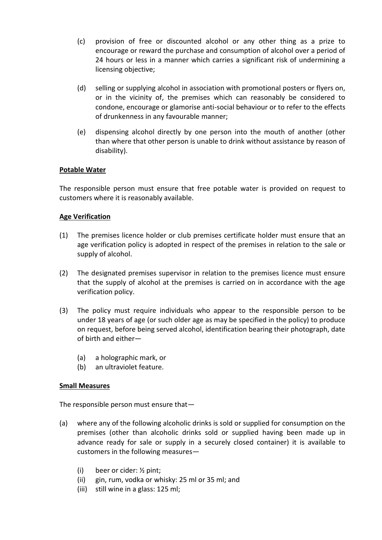- (c) provision of free or discounted alcohol or any other thing as a prize to encourage or reward the purchase and consumption of alcohol over a period of 24 hours or less in a manner which carries a significant risk of undermining a licensing objective;
- (d) selling or supplying alcohol in association with promotional posters or flyers on, or in the vicinity of, the premises which can reasonably be considered to condone, encourage or glamorise anti-social behaviour or to refer to the effects of drunkenness in any favourable manner;
- (e) dispensing alcohol directly by one person into the mouth of another (other than where that other person is unable to drink without assistance by reason of disability).

# **Potable Water**

The responsible person must ensure that free potable water is provided on request to customers where it is reasonably available.

# **Age Verification**

- (1) The premises licence holder or club premises certificate holder must ensure that an age verification policy is adopted in respect of the premises in relation to the sale or supply of alcohol.
- (2) The designated premises supervisor in relation to the premises licence must ensure that the supply of alcohol at the premises is carried on in accordance with the age verification policy.
- (3) The policy must require individuals who appear to the responsible person to be under 18 years of age (or such older age as may be specified in the policy) to produce on request, before being served alcohol, identification bearing their photograph, date of birth and either—
	- (a) a holographic mark, or
	- (b) an ultraviolet feature.

#### **Small Measures**

The responsible person must ensure that—

- (a) where any of the following alcoholic drinks is sold or supplied for consumption on the premises (other than alcoholic drinks sold or supplied having been made up in advance ready for sale or supply in a securely closed container) it is available to customers in the following measures—
	- (i) beer or cider: ½ pint;
	- (ii) gin, rum, vodka or whisky: 25 ml or 35 ml; and
	- (iii) still wine in a glass: 125 ml;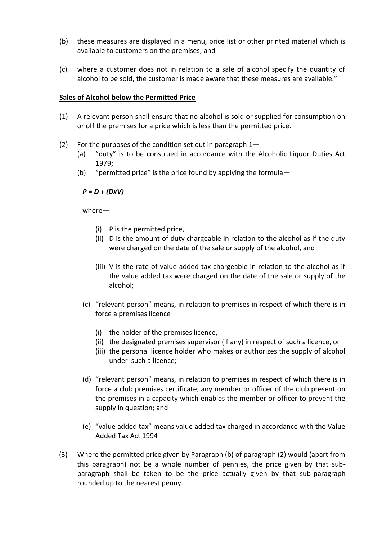- (b) these measures are displayed in a menu, price list or other printed material which is available to customers on the premises; and
- (c) where a customer does not in relation to a sale of alcohol specify the quantity of alcohol to be sold, the customer is made aware that these measures are available."

#### **Sales of Alcohol below the Permitted Price**

- (1) A relevant person shall ensure that no alcohol is sold or supplied for consumption on or off the premises for a price which is less than the permitted price.
- (2) For the purposes of the condition set out in paragraph  $1-$ 
	- (a) "duty" is to be construed in accordance with the Alcoholic Liquor Duties Act 1979;
	- (b) "permitted price" is the price found by applying the formula—

*P = D + (DxV)*

where—

- (i) P is the permitted price,
- (ii) D is the amount of duty chargeable in relation to the alcohol as if the duty were charged on the date of the sale or supply of the alcohol, and
- (iii) V is the rate of value added tax chargeable in relation to the alcohol as if the value added tax were charged on the date of the sale or supply of the alcohol;
- (c) "relevant person" means, in relation to premises in respect of which there is in force a premises licence—
	- (i) the holder of the premises licence,
	- (ii) the designated premises supervisor (if any) in respect of such a licence, or
	- (iii) the personal licence holder who makes or authorizes the supply of alcohol under such a licence;
- (d) "relevant person" means, in relation to premises in respect of which there is in force a club premises certificate, any member or officer of the club present on the premises in a capacity which enables the member or officer to prevent the supply in question; and
- (e) "value added tax" means value added tax charged in accordance with the Value Added Tax Act 1994
- (3) Where the permitted price given by Paragraph (b) of paragraph (2) would (apart from this paragraph) not be a whole number of pennies, the price given by that subparagraph shall be taken to be the price actually given by that sub-paragraph rounded up to the nearest penny.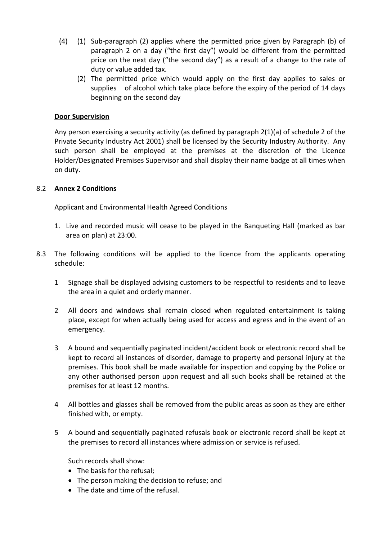- (4) (1) Sub-paragraph (2) applies where the permitted price given by Paragraph (b) of paragraph 2 on a day ("the first day") would be different from the permitted price on the next day ("the second day") as a result of a change to the rate of duty or value added tax.
	- (2) The permitted price which would apply on the first day applies to sales or supplies of alcohol which take place before the expiry of the period of 14 days beginning on the second day

# **Door Supervision**

Any person exercising a security activity (as defined by paragraph 2(1)(a) of schedule 2 of the Private Security Industry Act 2001) shall be licensed by the Security Industry Authority. Any such person shall be employed at the premises at the discretion of the Licence Holder/Designated Premises Supervisor and shall display their name badge at all times when on duty.

# 8.2 **Annex 2 Conditions**

Applicant and Environmental Health Agreed Conditions

- 1. Live and recorded music will cease to be played in the Banqueting Hall (marked as bar area on plan) at 23:00.
- 8.3 The following conditions will be applied to the licence from the applicants operating schedule:
	- 1 Signage shall be displayed advising customers to be respectful to residents and to leave the area in a quiet and orderly manner.
	- 2 All doors and windows shall remain closed when regulated entertainment is taking place, except for when actually being used for access and egress and in the event of an emergency.
	- 3 A bound and sequentially paginated incident/accident book or electronic record shall be kept to record all instances of disorder, damage to property and personal injury at the premises. This book shall be made available for inspection and copying by the Police or any other authorised person upon request and all such books shall be retained at the premises for at least 12 months.
	- 4 All bottles and glasses shall be removed from the public areas as soon as they are either finished with, or empty.
	- 5 A bound and sequentially paginated refusals book or electronic record shall be kept at the premises to record all instances where admission or service is refused.

Such records shall show:

- The basis for the refusal;
- The person making the decision to refuse; and
- The date and time of the refusal.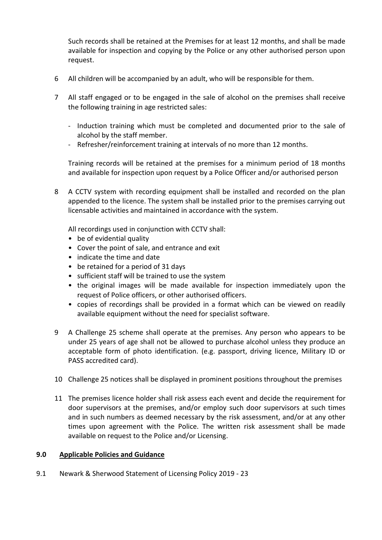Such records shall be retained at the Premises for at least 12 months, and shall be made available for inspection and copying by the Police or any other authorised person upon request.

- 6 All children will be accompanied by an adult, who will be responsible for them.
- 7 All staff engaged or to be engaged in the sale of alcohol on the premises shall receive the following training in age restricted sales:
	- Induction training which must be completed and documented prior to the sale of alcohol by the staff member.
	- Refresher/reinforcement training at intervals of no more than 12 months.

Training records will be retained at the premises for a minimum period of 18 months and available for inspection upon request by a Police Officer and/or authorised person

8 A CCTV system with recording equipment shall be installed and recorded on the plan appended to the licence. The system shall be installed prior to the premises carrying out licensable activities and maintained in accordance with the system.

All recordings used in conjunction with CCTV shall:

- be of evidential quality
- Cover the point of sale, and entrance and exit
- indicate the time and date
- be retained for a period of 31 days
- sufficient staff will be trained to use the system
- the original images will be made available for inspection immediately upon the request of Police officers, or other authorised officers.
- copies of recordings shall be provided in a format which can be viewed on readily available equipment without the need for specialist software.
- 9 A Challenge 25 scheme shall operate at the premises. Any person who appears to be under 25 years of age shall not be allowed to purchase alcohol unless they produce an acceptable form of photo identification. (e.g. passport, driving licence, Military ID or PASS accredited card).
- 10 Challenge 25 notices shall be displayed in prominent positions throughout the premises
- 11 The premises licence holder shall risk assess each event and decide the requirement for door supervisors at the premises, and/or employ such door supervisors at such times and in such numbers as deemed necessary by the risk assessment, and/or at any other times upon agreement with the Police. The written risk assessment shall be made available on request to the Police and/or Licensing.

#### **9.0 Applicable Policies and Guidance**

9.1 Newark & Sherwood Statement of Licensing Policy 2019 - 23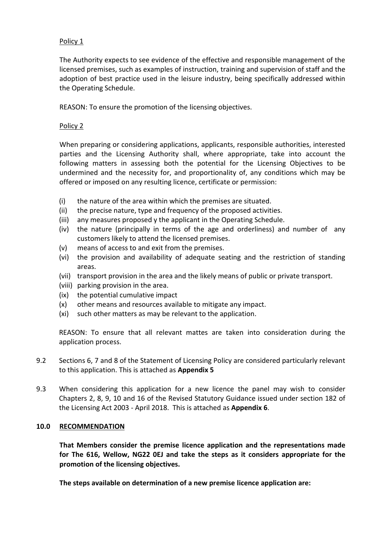## Policy 1

The Authority expects to see evidence of the effective and responsible management of the licensed premises, such as examples of instruction, training and supervision of staff and the adoption of best practice used in the leisure industry, being specifically addressed within the Operating Schedule.

REASON: To ensure the promotion of the licensing objectives.

## Policy 2

When preparing or considering applications, applicants, responsible authorities, interested parties and the Licensing Authority shall, where appropriate, take into account the following matters in assessing both the potential for the Licensing Objectives to be undermined and the necessity for, and proportionality of, any conditions which may be offered or imposed on any resulting licence, certificate or permission:

- (i) the nature of the area within which the premises are situated.
- (ii) the precise nature, type and frequency of the proposed activities.
- (iii) any measures proposed y the applicant in the Operating Schedule.
- (iv) the nature (principally in terms of the age and orderliness) and number of any customers likely to attend the licensed premises.
- (v) means of access to and exit from the premises.
- (vi) the provision and availability of adequate seating and the restriction of standing areas.
- (vii) transport provision in the area and the likely means of public or private transport.
- (viii) parking provision in the area.
- (ix) the potential cumulative impact
- (x) other means and resources available to mitigate any impact.
- (xi) such other matters as may be relevant to the application.

REASON: To ensure that all relevant mattes are taken into consideration during the application process.

- 9.2 Sections 6, 7 and 8 of the Statement of Licensing Policy are considered particularly relevant to this application. This is attached as **Appendix 5**
- 9.3 When considering this application for a new licence the panel may wish to consider Chapters 2, 8, 9, 10 and 16 of the Revised Statutory Guidance issued under section 182 of the Licensing Act 2003 - April 2018. This is attached as **Appendix 6**.

#### **10.0 RECOMMENDATION**

**That Members consider the premise licence application and the representations made for The 616, Wellow, NG22 0EJ and take the steps as it considers appropriate for the promotion of the licensing objectives.**

**The steps available on determination of a new premise licence application are:**